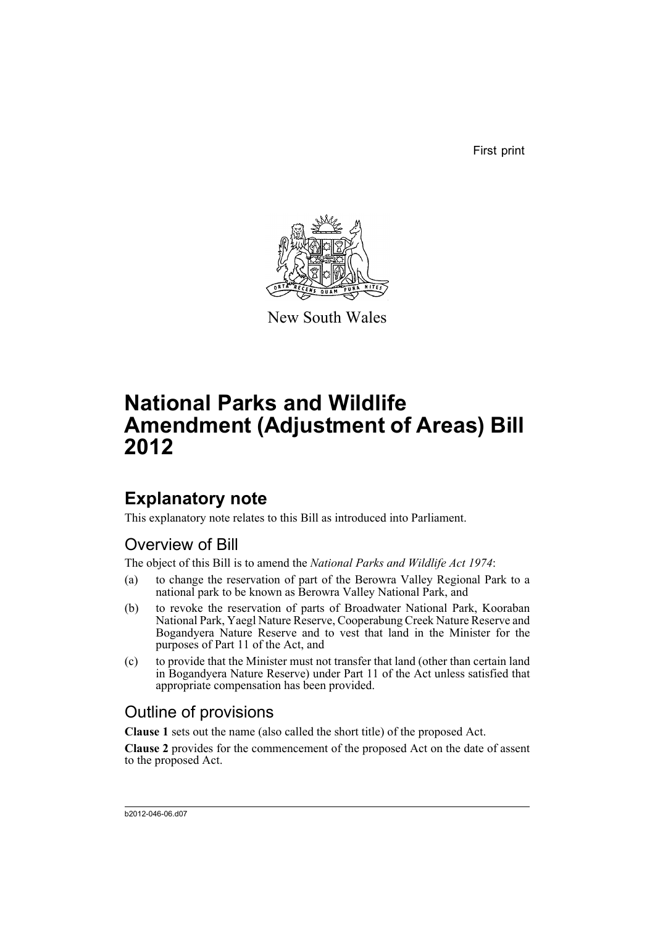First print



New South Wales

# **National Parks and Wildlife Amendment (Adjustment of Areas) Bill 2012**

## **Explanatory note**

This explanatory note relates to this Bill as introduced into Parliament.

## Overview of Bill

The object of this Bill is to amend the *National Parks and Wildlife Act 1974*:

- (a) to change the reservation of part of the Berowra Valley Regional Park to a national park to be known as Berowra Valley National Park, and
- (b) to revoke the reservation of parts of Broadwater National Park, Kooraban National Park, Yaegl Nature Reserve, Cooperabung Creek Nature Reserve and Bogandyera Nature Reserve and to vest that land in the Minister for the purposes of Part 11 of the Act, and
- (c) to provide that the Minister must not transfer that land (other than certain land in Bogandyera Nature Reserve) under Part 11 of the Act unless satisfied that appropriate compensation has been provided.

## Outline of provisions

**Clause 1** sets out the name (also called the short title) of the proposed Act.

**Clause 2** provides for the commencement of the proposed Act on the date of assent to the proposed Act.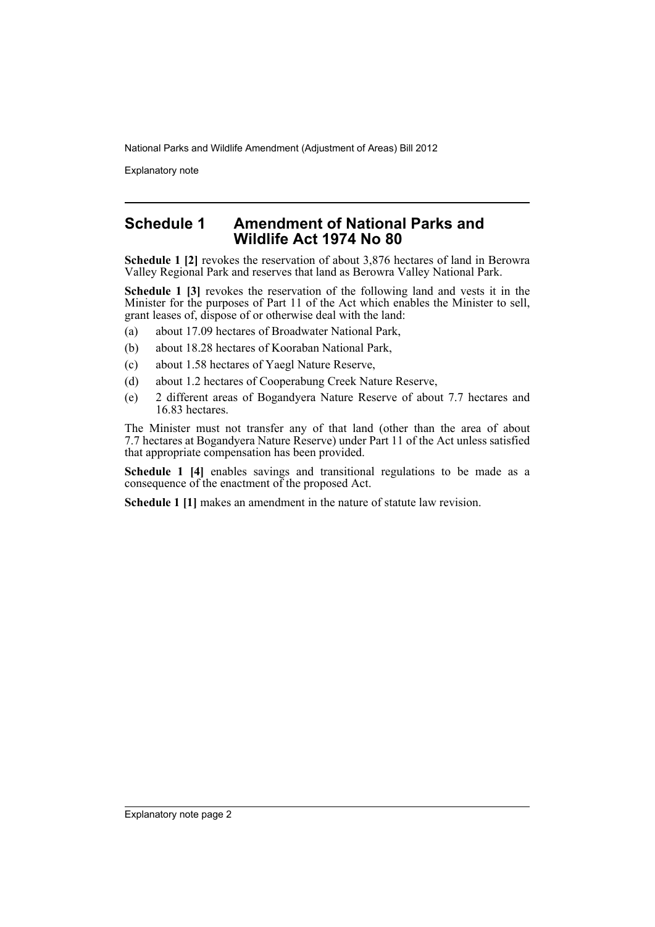Explanatory note

### **Schedule 1 Amendment of National Parks and Wildlife Act 1974 No 80**

**Schedule 1 [2]** revokes the reservation of about 3,876 hectares of land in Berowra Valley Regional Park and reserves that land as Berowra Valley National Park.

**Schedule 1 [3]** revokes the reservation of the following land and vests it in the Minister for the purposes of Part 11 of the Act which enables the Minister to sell, grant leases of, dispose of or otherwise deal with the land:

- (a) about 17.09 hectares of Broadwater National Park,
- (b) about 18.28 hectares of Kooraban National Park,
- (c) about 1.58 hectares of Yaegl Nature Reserve,
- (d) about 1.2 hectares of Cooperabung Creek Nature Reserve,
- (e) 2 different areas of Bogandyera Nature Reserve of about 7.7 hectares and 16.83 hectares.

The Minister must not transfer any of that land (other than the area of about 7.7 hectares at Bogandyera Nature Reserve) under Part 11 of the Act unless satisfied that appropriate compensation has been provided.

Schedule 1 [4] enables savings and transitional regulations to be made as a consequence of the enactment of the proposed Act.

**Schedule 1 [1]** makes an amendment in the nature of statute law revision.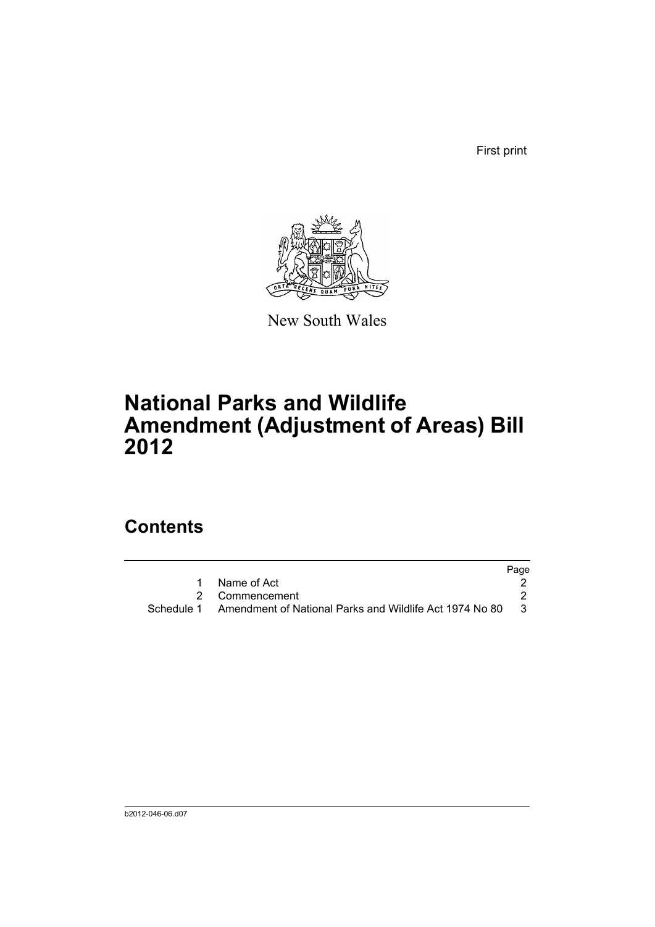First print



New South Wales

# **National Parks and Wildlife Amendment (Adjustment of Areas) Bill 2012**

## **Contents**

|                                                                    | Page |
|--------------------------------------------------------------------|------|
| Name of Act                                                        |      |
| 2 Commencement                                                     |      |
| Schedule 1 Amendment of National Parks and Wildlife Act 1974 No 80 | - 3  |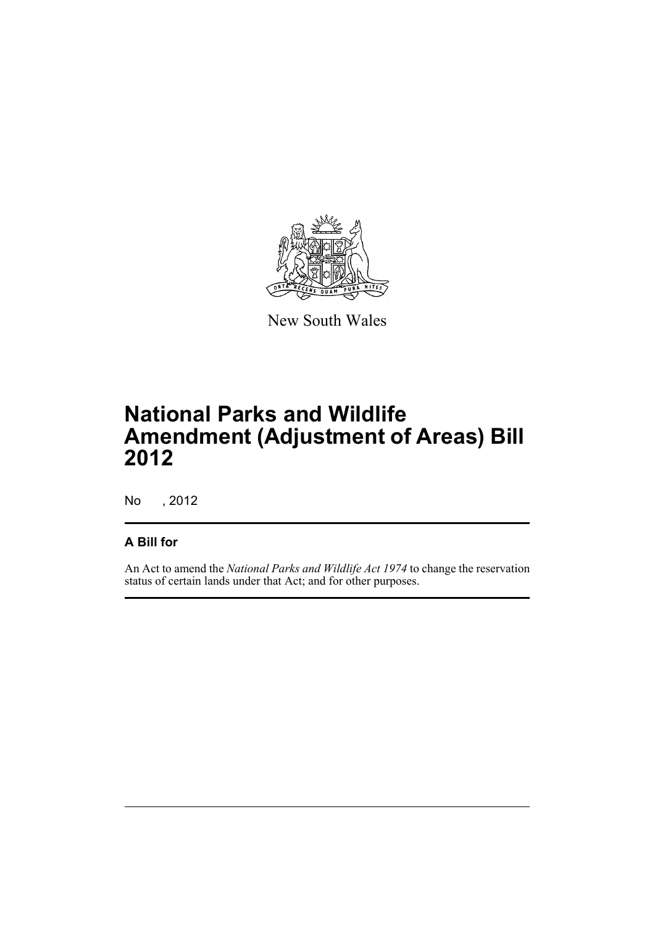

New South Wales

# **National Parks and Wildlife Amendment (Adjustment of Areas) Bill 2012**

No , 2012

### **A Bill for**

An Act to amend the *National Parks and Wildlife Act 1974* to change the reservation status of certain lands under that Act; and for other purposes.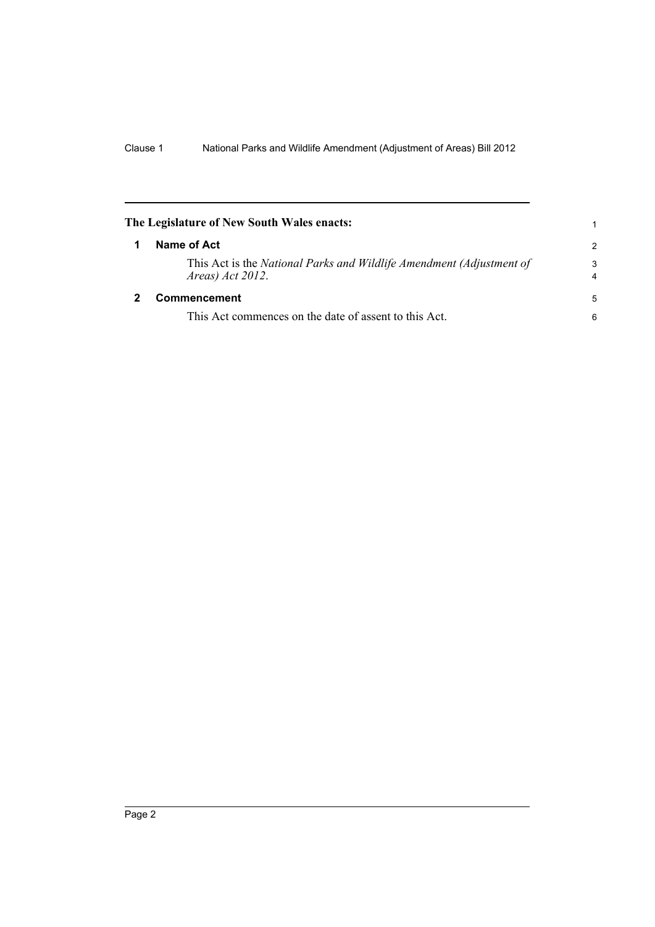<span id="page-5-1"></span><span id="page-5-0"></span>

| The Legislature of New South Wales enacts:                                                  |                     |
|---------------------------------------------------------------------------------------------|---------------------|
| Name of Act                                                                                 | $\mathcal{P}$       |
| This Act is the National Parks and Wildlife Amendment (Adjustment of<br>Areas) $Act 2012$ . | 3<br>$\overline{4}$ |
| Commencement                                                                                | 5                   |
| This Act commences on the date of assent to this Act.                                       | 6                   |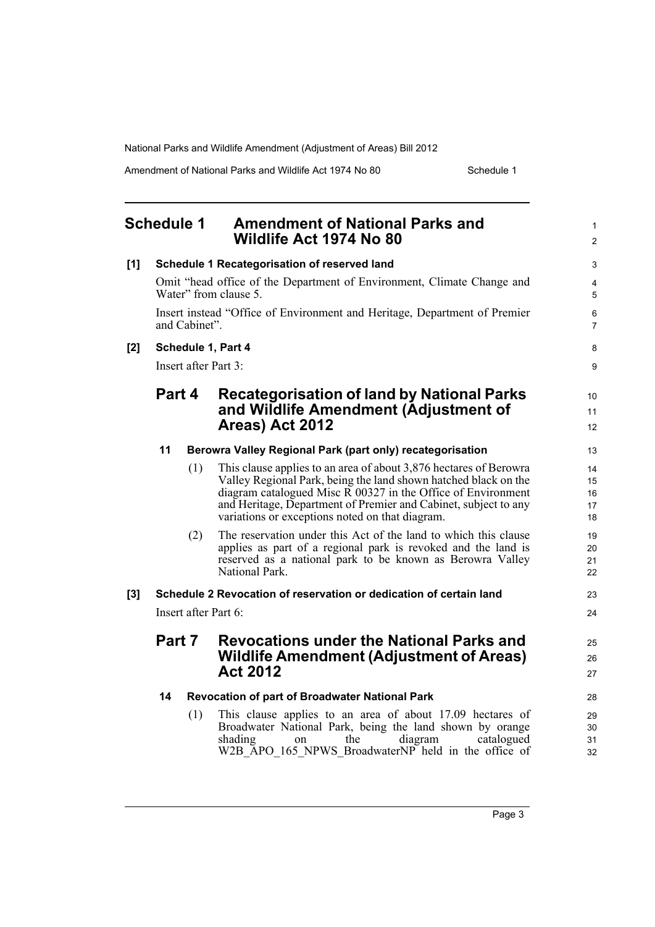Amendment of National Parks and Wildlife Act 1974 No 80 Schedule 1

<span id="page-6-0"></span>

|     | <b>Schedule 1</b>       | <b>Amendment of National Parks and</b><br>Wildlife Act 1974 No 80                                                                                                                                                                                                                                                                       | 1<br>$\overline{c}$        |
|-----|-------------------------|-----------------------------------------------------------------------------------------------------------------------------------------------------------------------------------------------------------------------------------------------------------------------------------------------------------------------------------------|----------------------------|
| [1] |                         | Schedule 1 Recategorisation of reserved land                                                                                                                                                                                                                                                                                            | 3                          |
|     |                         | Omit "head office of the Department of Environment, Climate Change and<br>Water" from clause 5.                                                                                                                                                                                                                                         | 4<br>5                     |
|     | and Cabinet".           | Insert instead "Office of Environment and Heritage, Department of Premier                                                                                                                                                                                                                                                               | 6<br>7                     |
| [2] | Schedule 1, Part 4      |                                                                                                                                                                                                                                                                                                                                         | 8                          |
|     | Insert after Part 3:    |                                                                                                                                                                                                                                                                                                                                         | 9                          |
|     | Part 4                  | Recategorisation of land by National Parks<br>and Wildlife Amendment (Adjustment of<br>Areas) Act 2012                                                                                                                                                                                                                                  | 10<br>11<br>12             |
|     | 11                      | Berowra Valley Regional Park (part only) recategorisation                                                                                                                                                                                                                                                                               | 13                         |
|     | (1)                     | This clause applies to an area of about 3,876 hectares of Berowra<br>Valley Regional Park, being the land shown hatched black on the<br>diagram catalogued Misc $\overline{R}$ 00327 in the Office of Environment<br>and Heritage, Department of Premier and Cabinet, subject to any<br>variations or exceptions noted on that diagram. | 14<br>15<br>16<br>17<br>18 |
|     | (2)                     | The reservation under this Act of the land to which this clause<br>applies as part of a regional park is revoked and the land is<br>reserved as a national park to be known as Berowra Valley<br>National Park.                                                                                                                         | 19<br>20<br>21<br>22       |
| [3] |                         | Schedule 2 Revocation of reservation or dedication of certain land                                                                                                                                                                                                                                                                      | 23                         |
|     | Insert after Part $6$ : |                                                                                                                                                                                                                                                                                                                                         | 24                         |
|     | Part 7                  | <b>Revocations under the National Parks and</b><br><b>Wildlife Amendment (Adjustment of Areas)</b><br><b>Act 2012</b>                                                                                                                                                                                                                   | 25<br>26<br>27             |
|     | 14                      | Revocation of part of Broadwater National Park                                                                                                                                                                                                                                                                                          | 28                         |
|     | (1)                     | This clause applies to an area of about 17.09 hectares of<br>Broadwater National Park, being the land shown by orange<br>shading<br>diagram<br>the<br>catalogued<br>$\alpha$ n<br>W2B_APO_165_NPWS_BroadwaterNP held in the office of                                                                                                   | 29<br>30<br>31<br>32       |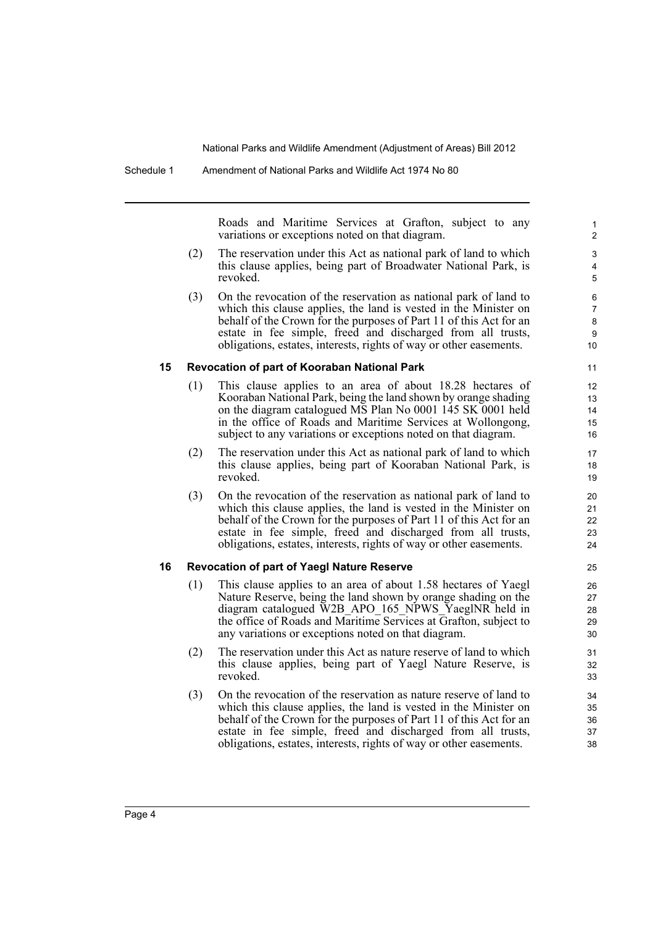Roads and Maritime Services at Grafton, subject to any variations or exceptions noted on that diagram.

- (2) The reservation under this Act as national park of land to which this clause applies, being part of Broadwater National Park, is revoked.
- (3) On the revocation of the reservation as national park of land to which this clause applies, the land is vested in the Minister on behalf of the Crown for the purposes of Part 11 of this Act for an estate in fee simple, freed and discharged from all trusts, obligations, estates, interests, rights of way or other easements.

#### **15 Revocation of part of Kooraban National Park**

- (1) This clause applies to an area of about 18.28 hectares of Kooraban National Park, being the land shown by orange shading on the diagram catalogued MS Plan No 0001 145 SK 0001 held in the office of Roads and Maritime Services at Wollongong, subject to any variations or exceptions noted on that diagram.
- (2) The reservation under this Act as national park of land to which this clause applies, being part of Kooraban National Park, is revoked.
- (3) On the revocation of the reservation as national park of land to which this clause applies, the land is vested in the Minister on behalf of the Crown for the purposes of Part 11 of this Act for an estate in fee simple, freed and discharged from all trusts, obligations, estates, interests, rights of way or other easements.

#### **16 Revocation of part of Yaegl Nature Reserve**

- (1) This clause applies to an area of about 1.58 hectares of Yaegl Nature Reserve, being the land shown by orange shading on the diagram catalogued W2B\_APO\_165\_NPWS\_YaeglNR held in the office of Roads and Maritime Services at Grafton, subject to any variations or exceptions noted on that diagram.
- (2) The reservation under this Act as nature reserve of land to which this clause applies, being part of Yaegl Nature Reserve, is revoked.
- (3) On the revocation of the reservation as nature reserve of land to which this clause applies, the land is vested in the Minister on behalf of the Crown for the purposes of Part 11 of this Act for an estate in fee simple, freed and discharged from all trusts, obligations, estates, interests, rights of way or other easements.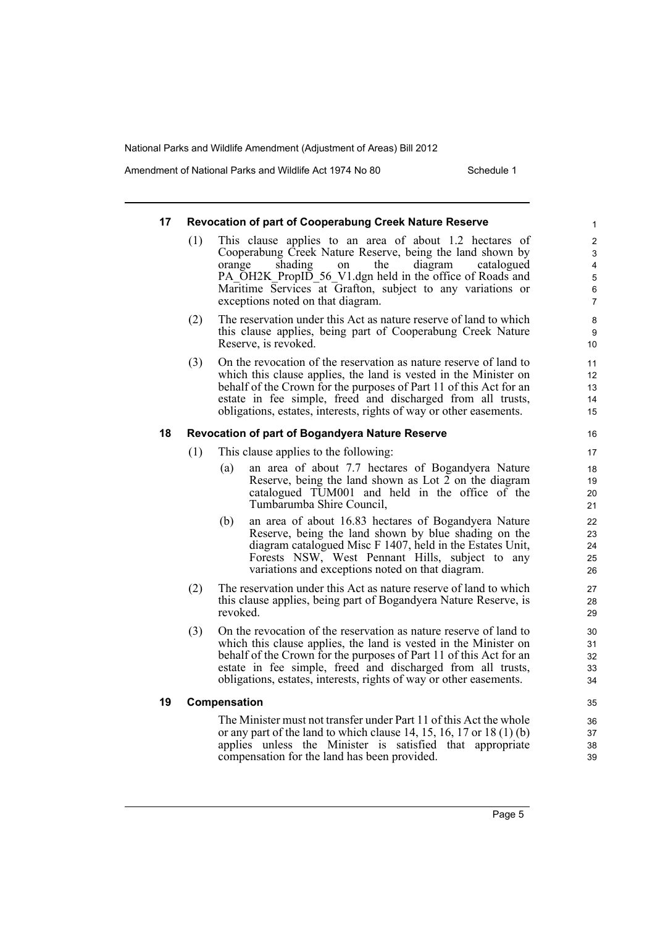Amendment of National Parks and Wildlife Act 1974 No 80 Schedule 1

### **17 Revocation of part of Cooperabung Creek Nature Reserve**

- (1) This clause applies to an area of about 1.2 hectares of Cooperabung Creek Nature Reserve, being the land shown by orange shading on the diagram catalogued PA\_OH2K\_PropID\_56\_V1.dgn held in the office of Roads and Maritime Services at Grafton, subject to any variations or exceptions noted on that diagram.
- (2) The reservation under this Act as nature reserve of land to which this clause applies, being part of Cooperabung Creek Nature Reserve, is revoked.
- (3) On the revocation of the reservation as nature reserve of land to which this clause applies, the land is vested in the Minister on behalf of the Crown for the purposes of Part 11 of this Act for an estate in fee simple, freed and discharged from all trusts, obligations, estates, interests, rights of way or other easements.

### **18 Revocation of part of Bogandyera Nature Reserve**

- (1) This clause applies to the following:
	- (a) an area of about 7.7 hectares of Bogandyera Nature Reserve, being the land shown as Lot 2 on the diagram catalogued TUM001 and held in the office of the Tumbarumba Shire Council,
	- (b) an area of about 16.83 hectares of Bogandyera Nature Reserve, being the land shown by blue shading on the diagram catalogued Misc F 1407, held in the Estates Unit, Forests NSW, West Pennant Hills, subject to any variations and exceptions noted on that diagram.
- (2) The reservation under this Act as nature reserve of land to which this clause applies, being part of Bogandyera Nature Reserve, is revoked.
- (3) On the revocation of the reservation as nature reserve of land to which this clause applies, the land is vested in the Minister on behalf of the Crown for the purposes of Part 11 of this Act for an estate in fee simple, freed and discharged from all trusts, obligations, estates, interests, rights of way or other easements.

#### **19 Compensation**

The Minister must not transfer under Part 11 of this Act the whole or any part of the land to which clause 14, 15, 16, 17 or 18 (1) (b) applies unless the Minister is satisfied that appropriate compensation for the land has been provided.